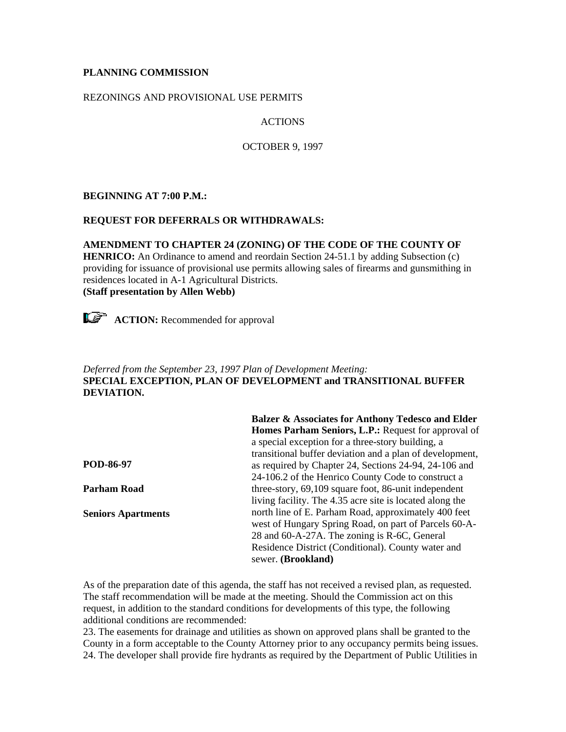### **PLANNING COMMISSION**

### REZONINGS AND PROVISIONAL USE PERMITS

# ACTIONS

#### OCTOBER 9, 1997

### **BEGINNING AT 7:00 P.M.:**

#### **REQUEST FOR DEFERRALS OR WITHDRAWALS:**

### **AMENDMENT TO CHAPTER 24 (ZONING) OF THE CODE OF THE COUNTY OF HENRICO:** An Ordinance to amend and reordain Section 24-51.1 by adding Subsection (c) providing for issuance of provisional use permits allowing sales of firearms and gunsmithing in residences located in A-1 Agricultural Districts. **(Staff presentation by Allen Webb)**



**ACTION:** Recommended for approval

# *Deferred from the September 23, 1997 Plan of Development Meeting:* **SPECIAL EXCEPTION, PLAN OF DEVELOPMENT and TRANSITIONAL BUFFER DEVIATION.**

|                           | Balzer & Associates for Anthony Tedesco and Elder        |
|---------------------------|----------------------------------------------------------|
|                           | Homes Parham Seniors, L.P.: Request for approval of      |
|                           | a special exception for a three-story building, a        |
|                           | transitional buffer deviation and a plan of development, |
| POD-86-97                 | as required by Chapter 24, Sections 24-94, 24-106 and    |
|                           | 24-106.2 of the Henrico County Code to construct a       |
| <b>Parham Road</b>        | three-story, $69,109$ square foot, 86-unit independent   |
|                           | living facility. The 4.35 acre site is located along the |
| <b>Seniors Apartments</b> | north line of E. Parham Road, approximately 400 feet     |
|                           | west of Hungary Spring Road, on part of Parcels 60-A-    |
|                           | 28 and 60-A-27A. The zoning is R-6C, General             |
|                           | Residence District (Conditional). County water and       |
|                           | sewer. (Brookland)                                       |
|                           |                                                          |

As of the preparation date of this agenda, the staff has not received a revised plan, as requested. The staff recommendation will be made at the meeting. Should the Commission act on this request, in addition to the standard conditions for developments of this type, the following additional conditions are recommended:

23. The easements for drainage and utilities as shown on approved plans shall be granted to the County in a form acceptable to the County Attorney prior to any occupancy permits being issues. 24. The developer shall provide fire hydrants as required by the Department of Public Utilities in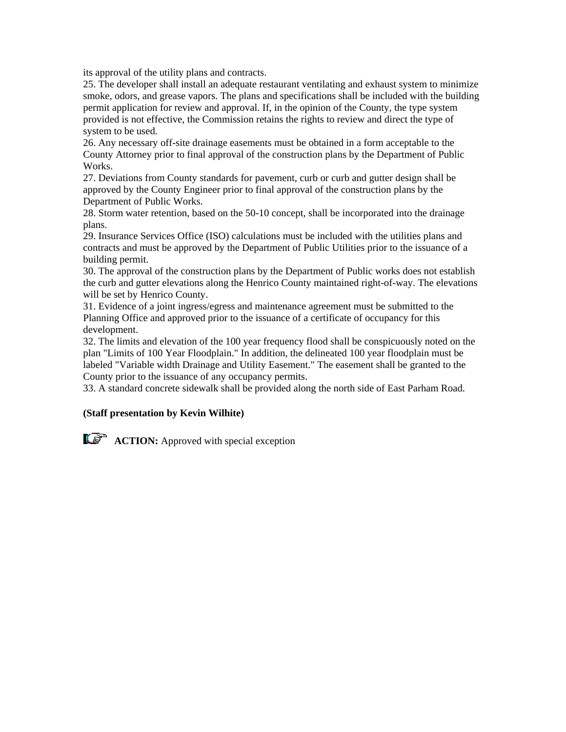its approval of the utility plans and contracts.

25. The developer shall install an adequate restaurant ventilating and exhaust system to minimize smoke, odors, and grease vapors. The plans and specifications shall be included with the building permit application for review and approval. If, in the opinion of the County, the type system provided is not effective, the Commission retains the rights to review and direct the type of system to be used.

26. Any necessary off-site drainage easements must be obtained in a form acceptable to the County Attorney prior to final approval of the construction plans by the Department of Public Works.

27. Deviations from County standards for pavement, curb or curb and gutter design shall be approved by the County Engineer prior to final approval of the construction plans by the Department of Public Works.

28. Storm water retention, based on the 50-10 concept, shall be incorporated into the drainage plans.

29. Insurance Services Office (ISO) calculations must be included with the utilities plans and contracts and must be approved by the Department of Public Utilities prior to the issuance of a building permit.

30. The approval of the construction plans by the Department of Public works does not establish the curb and gutter elevations along the Henrico County maintained right-of-way. The elevations will be set by Henrico County.

31. Evidence of a joint ingress/egress and maintenance agreement must be submitted to the Planning Office and approved prior to the issuance of a certificate of occupancy for this development.

32. The limits and elevation of the 100 year frequency flood shall be conspicuously noted on the plan "Limits of 100 Year Floodplain." In addition, the delineated 100 year floodplain must be labeled "Variable width Drainage and Utility Easement." The easement shall be granted to the County prior to the issuance of any occupancy permits.

33. A standard concrete sidewalk shall be provided along the north side of East Parham Road.

### **(Staff presentation by Kevin Wilhite)**

**ACTION:** Approved with special exception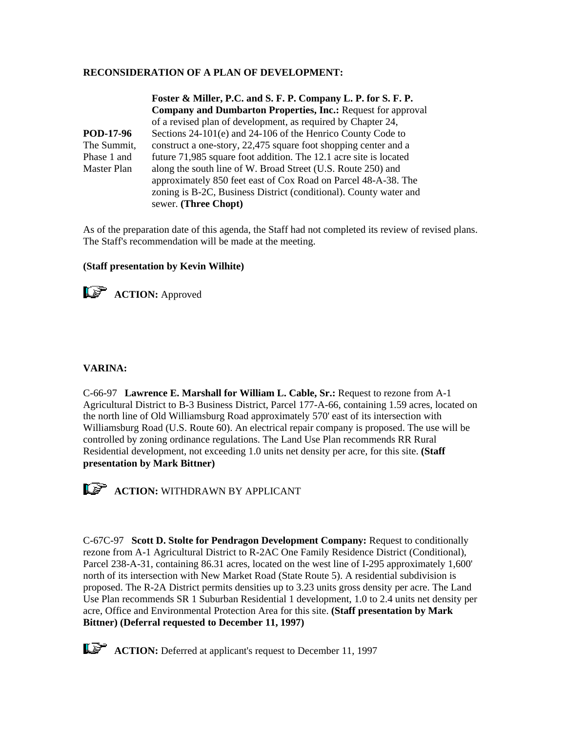#### **RECONSIDERATION OF A PLAN OF DEVELOPMENT:**

The Summit, **Foster & Miller, P.C. and S. F. P. Company L. P. for S. F. P. Company and Dumbarton Properties, Inc.:** Request for approval of a revised plan of development, as required by Chapter 24, Sections 24-101(e) and 24-106 of the Henrico County Code to construct a one-story, 22,475 square foot shopping center and a future 71,985 square foot addition. The 12.1 acre site is located along the south line of W. Broad Street (U.S. Route 250) and approximately 850 feet east of Cox Road on Parcel 48-A-38. The zoning is B-2C, Business District (conditional). County water and sewer. **(Three Chopt)**

As of the preparation date of this agenda, the Staff had not completed its review of revised plans. The Staff's recommendation will be made at the meeting.

#### **(Staff presentation by Kevin Wilhite)**



**VARINA:**

**POD-17-96**

Phase 1 and Master Plan

C-66-97 **Lawrence E. Marshall for William L. Cable, Sr.:** Request to rezone from A-1 Agricultural District to B-3 Business District, Parcel 177-A-66, containing 1.59 acres, located on the north line of Old Williamsburg Road approximately 570' east of its intersection with Williamsburg Road (U.S. Route 60). An electrical repair company is proposed. The use will be controlled by zoning ordinance regulations. The Land Use Plan recommends RR Rural Residential development, not exceeding 1.0 units net density per acre, for this site. **(Staff presentation by Mark Bittner)**



**ACTION:** WITHDRAWN BY APPLICANT

C-67C-97 **Scott D. Stolte for Pendragon Development Company:** Request to conditionally rezone from A-1 Agricultural District to R-2AC One Family Residence District (Conditional), Parcel 238-A-31, containing 86.31 acres, located on the west line of I-295 approximately 1,600' north of its intersection with New Market Road (State Route 5). A residential subdivision is proposed. The R-2A District permits densities up to 3.23 units gross density per acre. The Land Use Plan recommends SR 1 Suburban Residential 1 development, 1.0 to 2.4 units net density per acre, Office and Environmental Protection Area for this site. **(Staff presentation by Mark Bittner) (Deferral requested to December 11, 1997)**

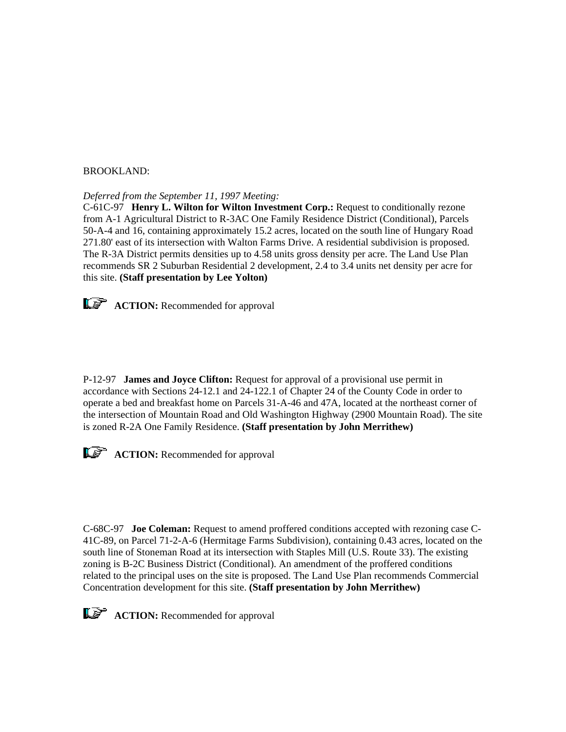#### BROOKLAND:

*Deferred from the September 11, 1997 Meeting:*

C-61C-97 **Henry L. Wilton for Wilton Investment Corp.:** Request to conditionally rezone from A-1 Agricultural District to R-3AC One Family Residence District (Conditional), Parcels 50-A-4 and 16, containing approximately 15.2 acres, located on the south line of Hungary Road 271.80' east of its intersection with Walton Farms Drive. A residential subdivision is proposed. The R-3A District permits densities up to 4.58 units gross density per acre. The Land Use Plan recommends SR 2 Suburban Residential 2 development, 2.4 to 3.4 units net density per acre for this site. **(Staff presentation by Lee Yolton)**



**ACTION:** Recommended for approval

P-12-97 **James and Joyce Clifton:** Request for approval of a provisional use permit in accordance with Sections 24-12.1 and 24-122.1 of Chapter 24 of the County Code in order to operate a bed and breakfast home on Parcels 31-A-46 and 47A, located at the northeast corner of the intersection of Mountain Road and Old Washington Highway (2900 Mountain Road). The site is zoned R-2A One Family Residence. **(Staff presentation by John Merrithew)**



**ACTION:** Recommended for approval

C-68C-97 **Joe Coleman:** Request to amend proffered conditions accepted with rezoning case C-41C-89, on Parcel 71-2-A-6 (Hermitage Farms Subdivision), containing 0.43 acres, located on the south line of Stoneman Road at its intersection with Staples Mill (U.S. Route 33). The existing zoning is B-2C Business District (Conditional). An amendment of the proffered conditions related to the principal uses on the site is proposed. The Land Use Plan recommends Commercial Concentration development for this site. **(Staff presentation by John Merrithew)**



**ACTION:** Recommended for approval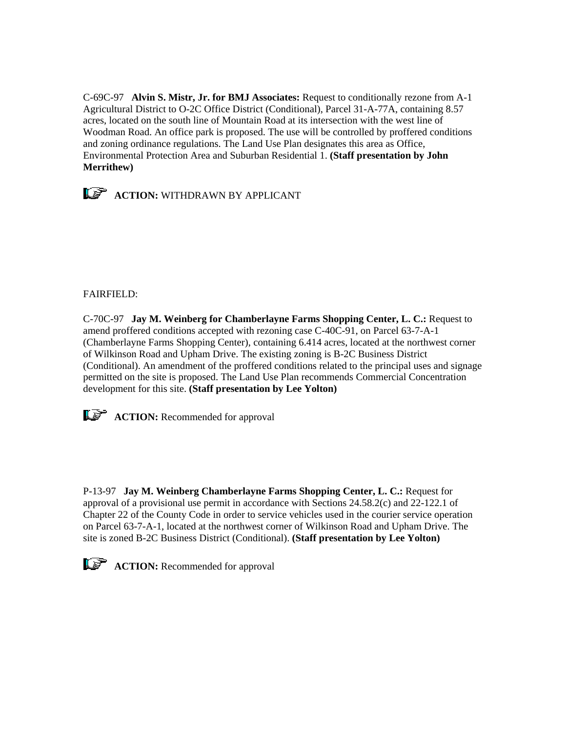C-69C-97 **Alvin S. Mistr, Jr. for BMJ Associates:** Request to conditionally rezone from A-1 Agricultural District to O-2C Office District (Conditional), Parcel 31-A-77A, containing 8.57 acres, located on the south line of Mountain Road at its intersection with the west line of Woodman Road. An office park is proposed. The use will be controlled by proffered conditions and zoning ordinance regulations. The Land Use Plan designates this area as Office, Environmental Protection Area and Suburban Residential 1. **(Staff presentation by John Merrithew)**



## FAIRFIELD:

C-70C-97 **Jay M. Weinberg for Chamberlayne Farms Shopping Center, L. C.:** Request to amend proffered conditions accepted with rezoning case C-40C-91, on Parcel 63-7-A-1 (Chamberlayne Farms Shopping Center), containing 6.414 acres, located at the northwest corner of Wilkinson Road and Upham Drive. The existing zoning is B-2C Business District (Conditional). An amendment of the proffered conditions related to the principal uses and signage permitted on the site is proposed. The Land Use Plan recommends Commercial Concentration development for this site. **(Staff presentation by Lee Yolton)**



**ACTION:** Recommended for approval

P-13-97 **Jay M. Weinberg Chamberlayne Farms Shopping Center, L. C.:** Request for approval of a provisional use permit in accordance with Sections 24.58.2(c) and 22-122.1 of Chapter 22 of the County Code in order to service vehicles used in the courier service operation on Parcel 63-7-A-1, located at the northwest corner of Wilkinson Road and Upham Drive. The site is zoned B-2C Business District (Conditional). **(Staff presentation by Lee Yolton)**



**ACTION:** Recommended for approval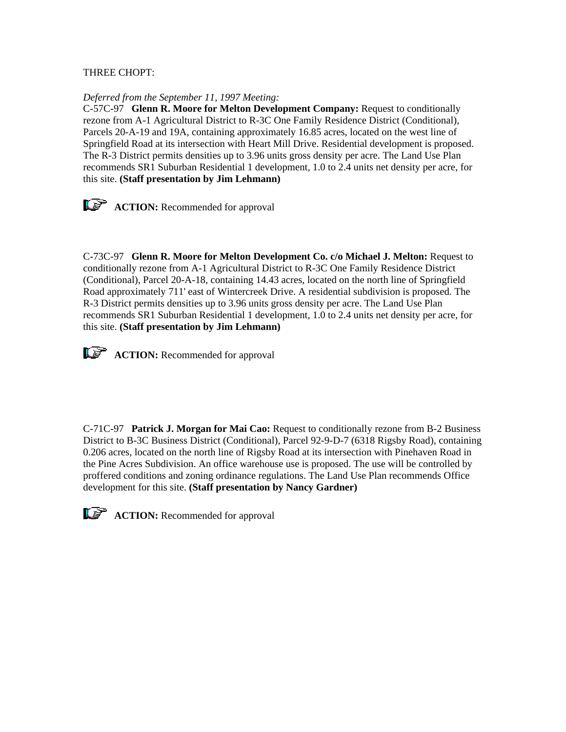## THREE CHOPT:

#### *Deferred from the September 11, 1997 Meeting:*

C-57C-97 **Glenn R. Moore for Melton Development Company:** Request to conditionally rezone from A-1 Agricultural District to R-3C One Family Residence District (Conditional), Parcels 20-A-19 and 19A, containing approximately 16.85 acres, located on the west line of Springfield Road at its intersection with Heart Mill Drive. Residential development is proposed. The R-3 District permits densities up to 3.96 units gross density per acre. The Land Use Plan recommends SR1 Suburban Residential 1 development, 1.0 to 2.4 units net density per acre, for this site. **(Staff presentation by Jim Lehmann)**



C-73C-97 **Glenn R. Moore for Melton Development Co. c/o Michael J. Melton:** Request to conditionally rezone from A-1 Agricultural District to R-3C One Family Residence District (Conditional), Parcel 20-A-18, containing 14.43 acres, located on the north line of Springfield Road approximately 711' east of Wintercreek Drive. A residential subdivision is proposed. The R-3 District permits densities up to 3.96 units gross density per acre. The Land Use Plan recommends SR1 Suburban Residential 1 development, 1.0 to 2.4 units net density per acre, for this site. **(Staff presentation by Jim Lehmann)**



**ACTION:** Recommended for approval

C-71C-97 **Patrick J. Morgan for Mai Cao:** Request to conditionally rezone from B-2 Business District to B-3C Business District (Conditional), Parcel 92-9-D-7 (6318 Rigsby Road), containing 0.206 acres, located on the north line of Rigsby Road at its intersection with Pinehaven Road in the Pine Acres Subdivision. An office warehouse use is proposed. The use will be controlled by proffered conditions and zoning ordinance regulations. The Land Use Plan recommends Office development for this site. **(Staff presentation by Nancy Gardner)**



**ACTION:** Recommended for approval